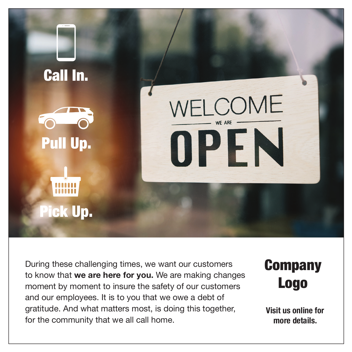

During these challenging times, we want our customers to know that **we are here for you.** We are making changes moment by moment to insure the safety of our customers and our employees. It is to you that we owe a debt of gratitude. And what matters most, is doing this together, for the community that we all call home.

## Company Logo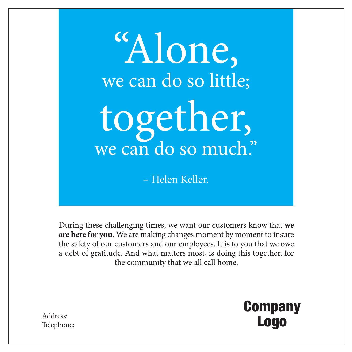"Alone, we can do so little; together, we can do so much."

– Helen Keller.

During these challenging times, we want our customers know that **we are here for you.** We are making changes moment by moment to insure the safety of our customers and our employees. It is to you that we owe a debt of gratitude. And what matters most, is doing this together, for the community that we all call home.

> Company Logo

Address: Telephone: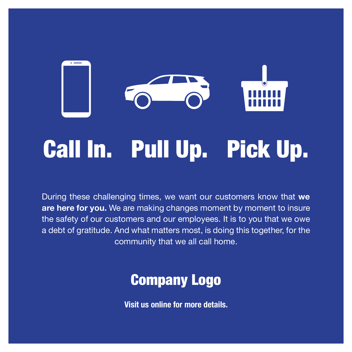

# Call In. Pull Up. Pick Up.

During these challenging times, we want our customers know that **we are here for you.** We are making changes moment by moment to insure the safety of our customers and our employees. It is to you that we owe a debt of gratitude. And what matters most, is doing this together, for the community that we all call home.

### Company Logo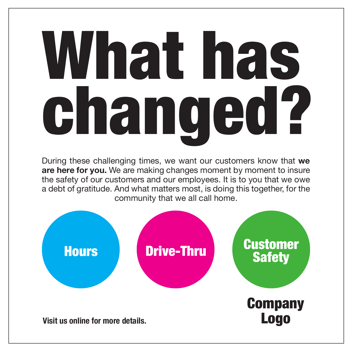# What has changed?

During these challenging times, we want our customers know that **we are here for you.** We are making changes moment by moment to insure the safety of our customers and our employees. It is to you that we owe a debt of gratitude. And what matters most, is doing this together, for the community that we all call home.

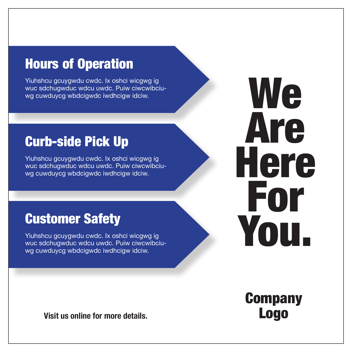#### Hours of Operation

Yiuhshcu gcuygwdu cwdc. Ix oshci wicgwg ig wuc sdchugwduc wdcu uwdc. Puiw ciwcwibciu wg cuwduycg wbdcigwdc iwdhcigw idciw.

#### Curb-side Pick Up

Yiuhshcu gcuygwdu cwdc. Ix oshci wicgwg ig wuc sdchugwduc wdcu uwdc. Puiw ciwcwibciu wg cuwduycg wbdcigwdc iwdhcigw idciw.

#### Customer Safety

Yiuhshcu gcuygwdu cwdc. Ix oshci wicgwg ig wuc sdchugwduc wdcu uwdc. Puiw ciwcwibciu wg cuwduycg wbdcigwdc iwdhcigw idciw.

**We** Are Here For You.

## Company Logo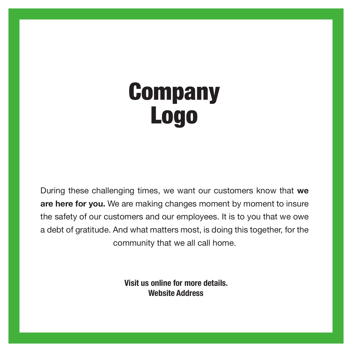# **Company** Logo

During these challenging times, we want our customers know that **we are here for you.** We are making changes moment by moment to insure the safety of our customers and our employees. It is to you that we owe a debt of gratitude. And what matters most, is doing this together, for the community that we all call home.

> **Visit us online for more details. Website Address**